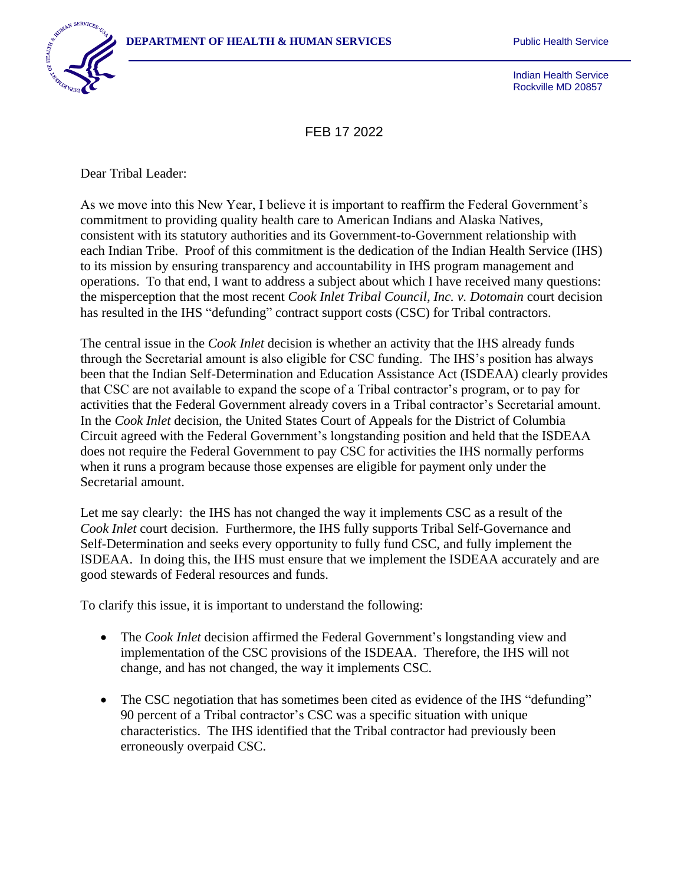

Indian Health Service Rockville MD 20857

FEB 17 2022

Dear Tribal Leader:

As we move into this New Year, I believe it is important to reaffirm the Federal Government's commitment to providing quality health care to American Indians and Alaska Natives, consistent with its statutory authorities and its Government-to-Government relationship with each Indian Tribe. Proof of this commitment is the dedication of the Indian Health Service (IHS) to its mission by ensuring transparency and accountability in IHS program management and operations. To that end, I want to address a subject about which I have received many questions: the misperception that the most recent *Cook Inlet Tribal Council, Inc. v. Dotomain* court decision has resulted in the IHS "defunding" contract support costs (CSC) for Tribal contractors.

The central issue in the *Cook Inlet* decision is whether an activity that the IHS already funds through the Secretarial amount is also eligible for CSC funding. The IHS's position has always been that the Indian Self-Determination and Education Assistance Act (ISDEAA) clearly provides that CSC are not available to expand the scope of a Tribal contractor's program, or to pay for activities that the Federal Government already covers in a Tribal contractor's Secretarial amount. In the *Cook Inlet* decision, the United States Court of Appeals for the District of Columbia Circuit agreed with the Federal Government's longstanding position and held that the ISDEAA does not require the Federal Government to pay CSC for activities the IHS normally performs when it runs a program because those expenses are eligible for payment only under the Secretarial amount.

Let me say clearly: the IHS has not changed the way it implements CSC as a result of the *Cook Inlet* court decision. Furthermore, the IHS fully supports Tribal Self-Governance and Self-Determination and seeks every opportunity to fully fund CSC, and fully implement the ISDEAA. In doing this, the IHS must ensure that we implement the ISDEAA accurately and are good stewards of Federal resources and funds.

To clarify this issue, it is important to understand the following:

- The *Cook Inlet* decision affirmed the Federal Government's longstanding view and implementation of the CSC provisions of the ISDEAA. Therefore, the IHS will not change, and has not changed, the way it implements CSC.
- The CSC negotiation that has sometimes been cited as evidence of the IHS "defunding" 90 percent of a Tribal contractor's CSC was a specific situation with unique characteristics. The IHS identified that the Tribal contractor had previously been erroneously overpaid CSC.